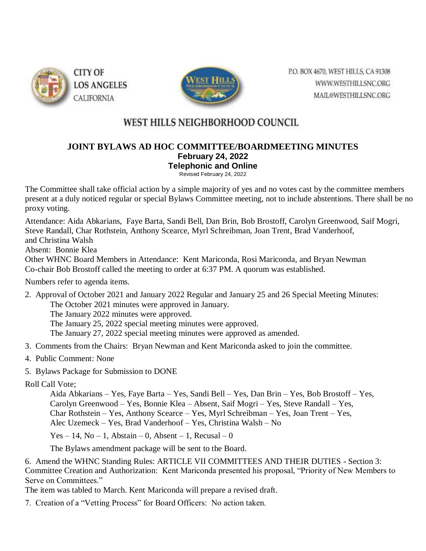

**CITY OF LOS ANGELES CALIFORNIA** 



P.O. BOX 4670, WEST HILLS, CA 91308 WWW.WESTHILLSNC.ORG MAIL@WESTHILLSNC.ORG

## WEST HILLS NEIGHBORHOOD COUNCIL

## **JOINT BYLAWS AD HOC COMMITTEE/BOARDMEETING MINUTES February 24, 2022 Telephonic and Online** Revised February 24, 2022

The Committee shall take official action by a simple majority of yes and no votes cast by the committee members present at a duly noticed regular or special Bylaws Committee meeting, not to include abstentions. There shall be no proxy voting.

Attendance: Aida Abkarians, Faye Barta, Sandi Bell, Dan Brin, Bob Brostoff, Carolyn Greenwood, Saif Mogri, Steve Randall, Char Rothstein, Anthony Scearce, Myrl Schreibman, Joan Trent, Brad Vanderhoof, and Christina Walsh

Absent: Bonnie Klea

Other WHNC Board Members in Attendance: Kent Mariconda, Rosi Mariconda, and Bryan Newman Co-chair Bob Brostoff called the meeting to order at 6:37 PM. A quorum was established.

Numbers refer to agenda items.

2. Approval of October 2021 and January 2022 Regular and January 25 and 26 Special Meeting Minutes:

The October 2021 minutes were approved in January.

The January 2022 minutes were approved.

The January 25, 2022 special meeting minutes were approved.

The January 27, 2022 special meeting minutes were approved as amended.

- 3. Comments from the Chairs: Bryan Newman and Kent Mariconda asked to join the committee.
- 4. Public Comment: None
- 5. Bylaws Package for Submission to DONE

Roll Call Vote;

Aida Abkarians – Yes, Faye Barta – Yes, Sandi Bell – Yes, Dan Brin – Yes, Bob Brostoff – Yes, Carolyn Greenwood – Yes, Bonnie Klea – Absent, Saif Mogri – Yes, Steve Randall – Yes, Char Rothstein – Yes, Anthony Scearce – Yes, Myrl Schreibman – Yes, Joan Trent – Yes, Alec Uzemeck – Yes, Brad Vanderhoof – Yes, Christina Walsh – No

Yes – 14, No – 1, Abstain – 0, Absent – 1, Recusal – 0

The Bylaws amendment package will be sent to the Board.

6. Amend the WHNC Standing Rules: ARTICLE VII COMMITTEES AND THEIR DUTIES - Section 3: Committee Creation and Authorization: Kent Mariconda presented his proposal, "Priority of New Members to Serve on Committees."

The item was tabled to March. Kent Mariconda will prepare a revised draft.

7. Creation of a "Vetting Process" for Board Officers: No action taken.